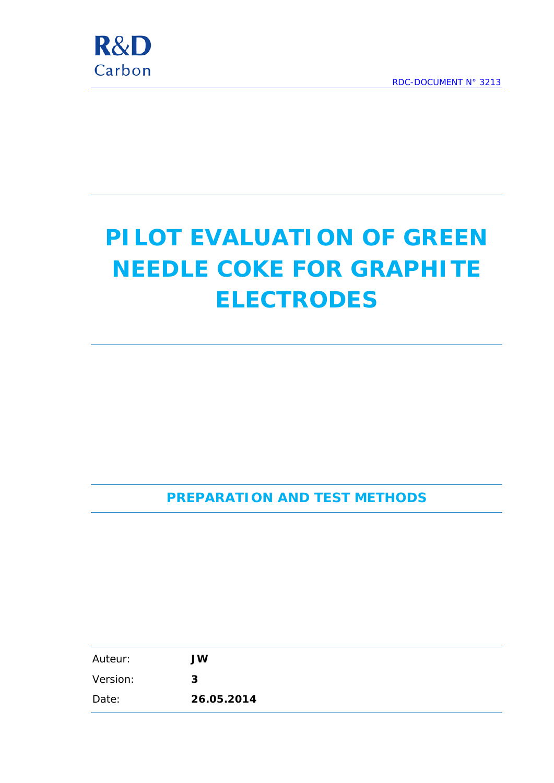

# **PILOT EVALUATION OF GREEN NEEDLE COKE FOR GRAPHITE ELECTRODES**

**PREPARATION AND TEST METHODS**

| Auteur:  | <b>JW</b>  |
|----------|------------|
| Version: | 3          |
| Date:    | 26.05.2014 |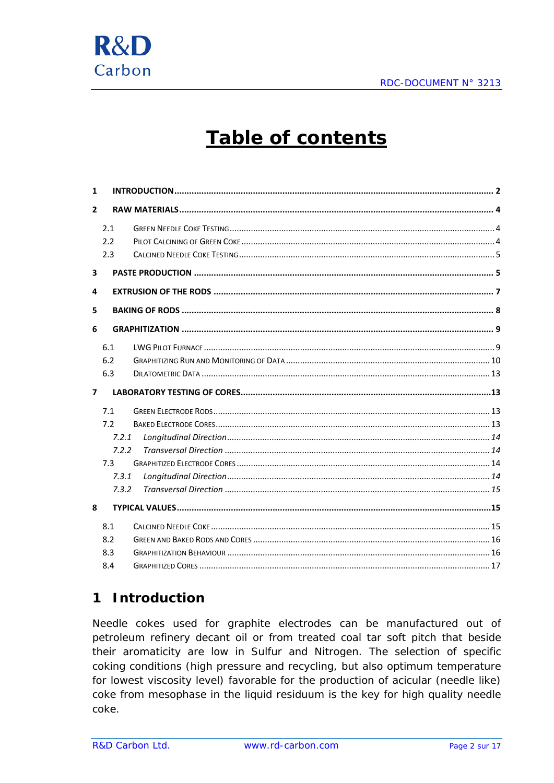

## **Table of contents**

| 1              |       |  |
|----------------|-------|--|
| $\mathbf{2}$   |       |  |
|                | 2.1   |  |
|                | 2.2   |  |
|                | 2.3   |  |
| 3              |       |  |
| 4              |       |  |
| 5              |       |  |
| 6              |       |  |
|                | 6.1   |  |
|                | 6.2   |  |
|                | 6.3   |  |
|                |       |  |
| $\overline{ }$ |       |  |
|                | 7.1   |  |
|                | 7.2   |  |
|                | 7.2.1 |  |
|                | 7.2.2 |  |
|                | 7.3   |  |
|                | 7.3.1 |  |
|                | 7.3.2 |  |
| 8              |       |  |
|                | 8.1   |  |
|                | 8.2   |  |
|                | 8.3   |  |

#### <span id="page-1-0"></span>**Introduction**  $\mathbf 1$

Needle cokes used for graphite electrodes can be manufactured out of petroleum refinery decant oil or from treated coal tar soft pitch that beside their aromaticity are low in Sulfur and Nitrogen. The selection of specific coking conditions (high pressure and recycling, but also optimum temperature for lowest viscosity level) favorable for the production of acicular (needle like) coke from mesophase in the liquid residuum is the key for high quality needle coke.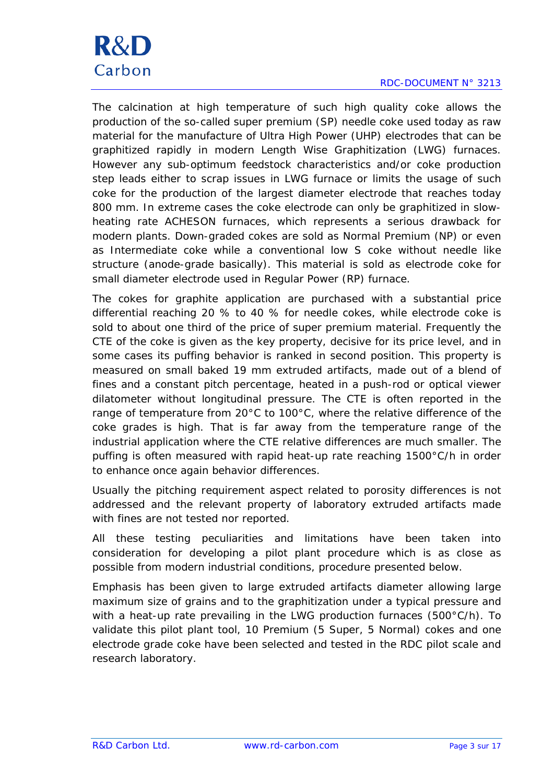## **R&D** Carbon

RDC-DOCUMENT N° 3213

The calcination at high temperature of such high quality coke allows the production of the so-called super premium (SP) needle coke used today as raw material for the manufacture of Ultra High Power (UHP) electrodes that can be graphitized rapidly in modern Length Wise Graphitization (LWG) furnaces. However any sub-optimum feedstock characteristics and/or coke production step leads either to scrap issues in LWG furnace or limits the usage of such coke for the production of the largest diameter electrode that reaches today 800 mm. In extreme cases the coke electrode can only be graphitized in slowheating rate ACHESON furnaces, which represents a serious drawback for modern plants. Down-graded cokes are sold as Normal Premium (NP) or even as Intermediate coke while a conventional low S coke without needle like structure (anode-grade basically). This material is sold as electrode coke for small diameter electrode used in Regular Power (RP) furnace.

The cokes for graphite application are purchased with a substantial price differential reaching 20 % to 40 % for needle cokes, while electrode coke is sold to about one third of the price of super premium material. Frequently the CTE of the coke is given as the key property, decisive for its price level, and in some cases its puffing behavior is ranked in second position. This property is measured on small baked 19 mm extruded artifacts, made out of a blend of fines and a constant pitch percentage, heated in a push-rod or optical viewer dilatometer without longitudinal pressure. The CTE is often reported in the range of temperature from 20°C to 100°C, where the relative difference of the coke grades is high. That is far away from the temperature range of the industrial application where the CTE relative differences are much smaller. The puffing is often measured with rapid heat-up rate reaching 1500°C/h in order to enhance once again behavior differences.

Usually the pitching requirement aspect related to porosity differences is not addressed and the relevant property of laboratory extruded artifacts made with fines are not tested nor reported.

All these testing peculiarities and limitations have been taken into consideration for developing a pilot plant procedure which is as close as possible from modern industrial conditions, procedure presented below.

Emphasis has been given to large extruded artifacts diameter allowing large maximum size of grains and to the graphitization under a typical pressure and with a heat-up rate prevailing in the LWG production furnaces (500°C/h). To validate this pilot plant tool, 10 Premium (5 Super, 5 Normal) cokes and one electrode grade coke have been selected and tested in the RDC pilot scale and research laboratory.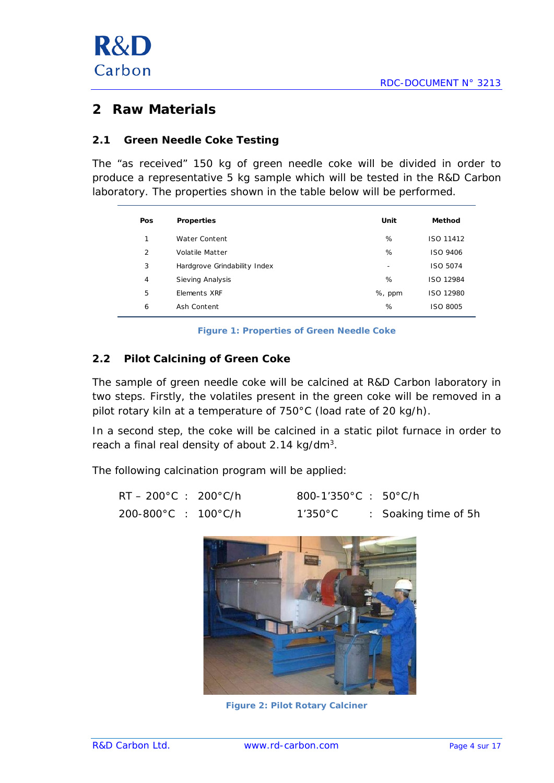

## <span id="page-3-0"></span>**2 Raw Materials**

## <span id="page-3-1"></span>**2.1 Green Needle Coke Testing**

The "as received" 150 kg of green needle coke will be divided in order to produce a representative 5 kg sample which will be tested in the R&D Carbon laboratory. The properties shown in the table below will be performed.

| Pos            | <b>Properties</b>            | Unit   | Method    |
|----------------|------------------------------|--------|-----------|
| 1              | Water Content                | %      | ISO 11412 |
| 2              | Volatile Matter              | %      | ISO 9406  |
| 3              | Hardgrove Grindability Index | ۰      | ISO 5074  |
| $\overline{4}$ | Sieving Analysis             | %      | ISO 12984 |
| 5              | Elements XRF                 | %, ppm | ISO 12980 |
| 6              | Ash Content                  | %      | ISO 8005  |

**Figure 1: Properties of Green Needle Coke**

#### <span id="page-3-2"></span>**2.2 Pilot Calcining of Green Coke**

The sample of green needle coke will be calcined at R&D Carbon laboratory in two steps. Firstly, the volatiles present in the green coke will be removed in a pilot rotary kiln at a temperature of 750°C (load rate of 20 kg/h).

In a second step, the coke will be calcined in a static pilot furnace in order to reach a final real density of about 2.14 kg/dm<sup>3</sup>.

The following calcination program will be applied:

| RT – 200°C : 200°C/h | $800 - 1'350^{\circ}$ C : 50°C/h |                      |
|----------------------|----------------------------------|----------------------|
| 200-800°C : 100°C/h  | $1'350^{\circ}$ C                | : Soaking time of 5h |



**Figure 2: Pilot Rotary Calciner**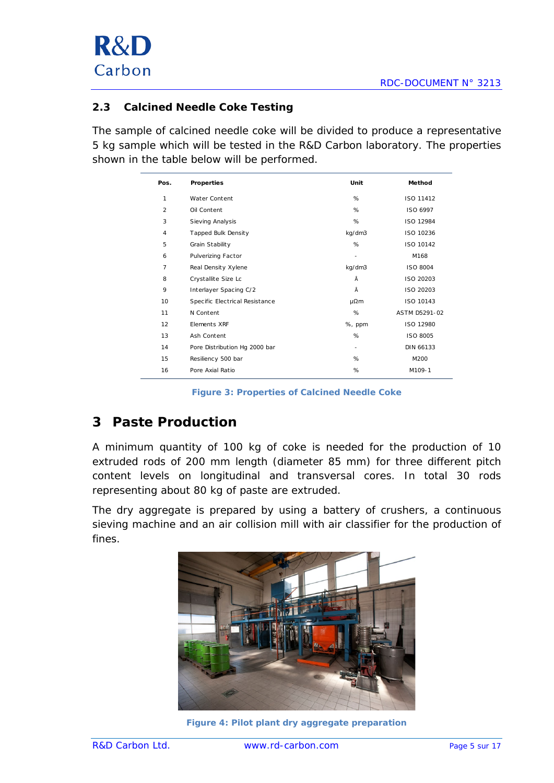

## <span id="page-4-0"></span>**2.3 Calcined Needle Coke Testing**

The sample of calcined needle coke will be divided to produce a representative 5 kg sample which will be tested in the R&D Carbon laboratory. The properties shown in the table below will be performed.

| Pos.           | Properties                     | Unit   | Method           |
|----------------|--------------------------------|--------|------------------|
| $\mathbf{1}$   | Water Content                  | %      | ISO 11412        |
| $\mathfrak{p}$ | Oil Content                    | %      | ISO 6997         |
| 3              | Sieving Analysis               | %      | ISO 12984        |
| $\overline{4}$ | Tapped Bulk Density            | kg/dm3 | ISO 10236        |
| 5              | Grain Stability                | %      | ISO 10142        |
| 6              | <b>Pulverizing Factor</b>      | ٠      | M168             |
| $\overline{7}$ | Real Density Xylene            | kg/dm3 | ISO 8004         |
| 8              | Crystallite Size Lc            | Å      | ISO 20203        |
| 9              | Interlayer Spacing C/2         | Å      | ISO 20203        |
| 10             | Specific Electrical Resistance | μ $Ωm$ | ISO 10143        |
| 11             | N Content                      | %      | ASTM D5291-02    |
| 12             | Elements XRF                   | %, ppm | ISO 12980        |
| 13             | Ash Content                    | %      | ISO 8005         |
| 14             | Pore Distribution Hg 2000 bar  | ۰      | <b>DIN 66133</b> |
| 15             | Resiliency 500 bar             | %      | M200             |
| 16             | Pore Axial Ratio               | %      | M109-1           |

**Figure 3: Properties of Calcined Needle Coke**

## <span id="page-4-1"></span>**3 Paste Production**

A minimum quantity of 100 kg of coke is needed for the production of 10 extruded rods of 200 mm length (diameter 85 mm) for three different pitch content levels on longitudinal and transversal cores. In total 30 rods representing about 80 kg of paste are extruded.

The dry aggregate is prepared by using a battery of crushers, a continuous sieving machine and an air collision mill with air classifier for the production of fines.



**Figure 4: Pilot plant dry aggregate preparation**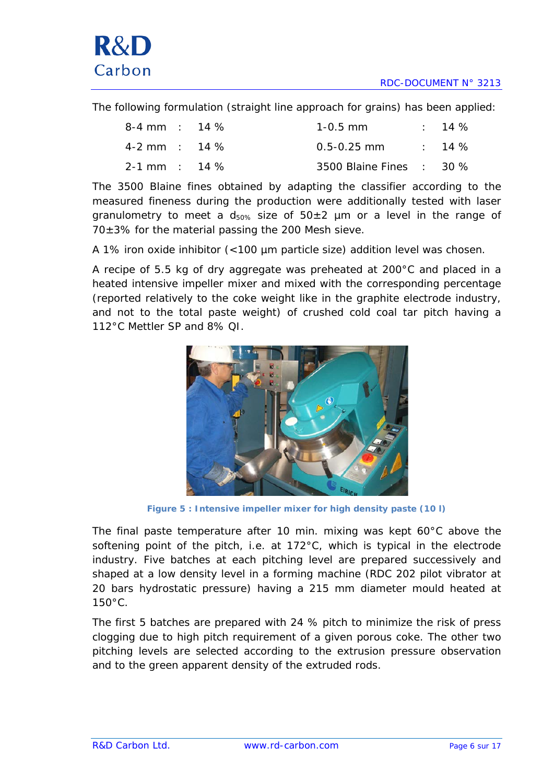The following formulation (straight line approach for grains) has been applied:

| $8-4$ mm : 14 % |  | $1 - 0.5$ mm             | $\therefore$ 14 % |
|-----------------|--|--------------------------|-------------------|
| $4-2$ mm : 14 % |  | $0.5 - 0.25$ mm $14\%$   |                   |
| $2-1$ mm : 14 % |  | 3500 Blaine Fines : 30 % |                   |

The 3500 Blaine fines obtained by adapting the classifier according to the measured fineness during the production were additionally tested with laser granulometry to meet a  $d_{50\%}$  size of  $50\pm2$  µm or a level in the range of  $70\pm3\%$  for the material passing the 200 Mesh sieve.

A 1% iron oxide inhibitor (<100 µm particle size) addition level was chosen.

A recipe of 5.5 kg of dry aggregate was preheated at 200°C and placed in a heated intensive impeller mixer and mixed with the corresponding percentage (reported relatively to the coke weight like in the graphite electrode industry, and not to the total paste weight) of crushed cold coal tar pitch having a 112°C Mettler SP and 8% QI.



**Figure 5 : Intensive impeller mixer for high density paste (10 l)**

The final paste temperature after 10 min. mixing was kept 60°C above the softening point of the pitch, i.e. at 172°C, which is typical in the electrode industry. Five batches at each pitching level are prepared successively and shaped at a low density level in a forming machine (RDC 202 pilot vibrator at 20 bars hydrostatic pressure) having a 215 mm diameter mould heated at 150°C.

The first 5 batches are prepared with 24 % pitch to minimize the risk of press clogging due to high pitch requirement of a given porous coke. The other two pitching levels are selected according to the extrusion pressure observation and to the green apparent density of the extruded rods.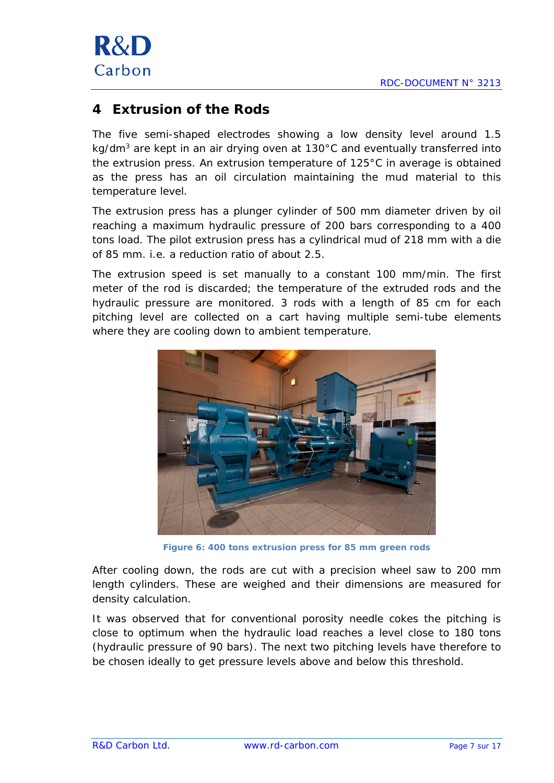

## <span id="page-6-0"></span>**4 Extrusion of the Rods**

The five semi-shaped electrodes showing a low density level around 1.5 kg/dm<sup>3</sup> are kept in an air drying oven at 130 $^{\circ}$ C and eventually transferred into the extrusion press. An extrusion temperature of 125°C in average is obtained as the press has an oil circulation maintaining the mud material to this temperature level.

The extrusion press has a plunger cylinder of 500 mm diameter driven by oil reaching a maximum hydraulic pressure of 200 bars corresponding to a 400 tons load. The pilot extrusion press has a cylindrical mud of 218 mm with a die of 85 mm. i.e. a reduction ratio of about 2.5.

The extrusion speed is set manually to a constant 100 mm/min. The first meter of the rod is discarded; the temperature of the extruded rods and the hydraulic pressure are monitored. 3 rods with a length of 85 cm for each pitching level are collected on a cart having multiple semi-tube elements where they are cooling down to ambient temperature.



**Figure 6: 400 tons extrusion press for 85 mm green rods**

After cooling down, the rods are cut with a precision wheel saw to 200 mm length cylinders. These are weighed and their dimensions are measured for density calculation.

It was observed that for conventional porosity needle cokes the pitching is close to optimum when the hydraulic load reaches a level close to 180 tons (hydraulic pressure of 90 bars). The next two pitching levels have therefore to be chosen ideally to get pressure levels above and below this threshold.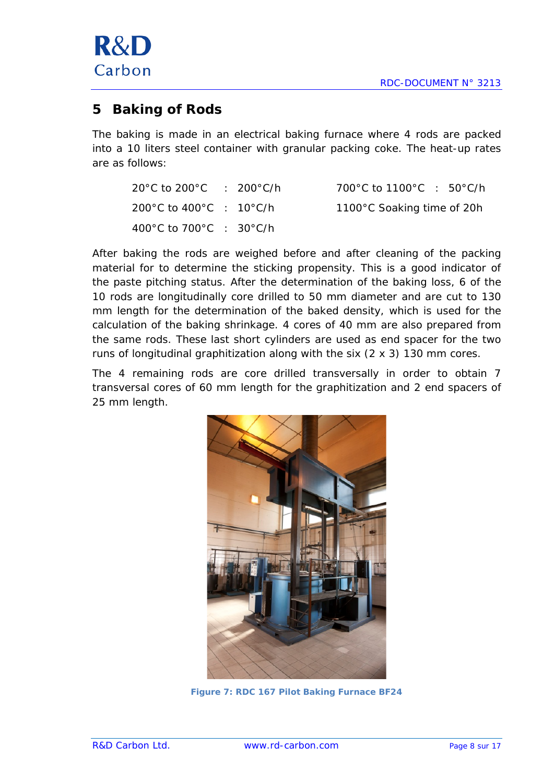

## <span id="page-7-0"></span>**5 Baking of Rods**

The baking is made in an electrical baking furnace where 4 rods are packed into a 10 liters steel container with granular packing coke. The heat-up rates are as follows:

| $20^{\circ}$ C to $200^{\circ}$ C : 200 $^{\circ}$ C/h |  | 700 °C to 1100 °C : 50 °C/h |
|--------------------------------------------------------|--|-----------------------------|
| 200°C to 400°C : 10°C/h                                |  | 1100°C Soaking time of 20h  |
| 400 °C to 700 °C : 30 °C/h                             |  |                             |

After baking the rods are weighed before and after cleaning of the packing material for to determine the sticking propensity. This is a good indicator of the paste pitching status. After the determination of the baking loss, 6 of the 10 rods are longitudinally core drilled to 50 mm diameter and are cut to 130 mm length for the determination of the baked density, which is used for the calculation of the baking shrinkage. 4 cores of 40 mm are also prepared from the same rods. These last short cylinders are used as end spacer for the two runs of longitudinal graphitization along with the six (2 x 3) 130 mm cores.

The 4 remaining rods are core drilled transversally in order to obtain 7 transversal cores of 60 mm length for the graphitization and 2 end spacers of 25 mm length.



**Figure 7: RDC 167 Pilot Baking Furnace BF24**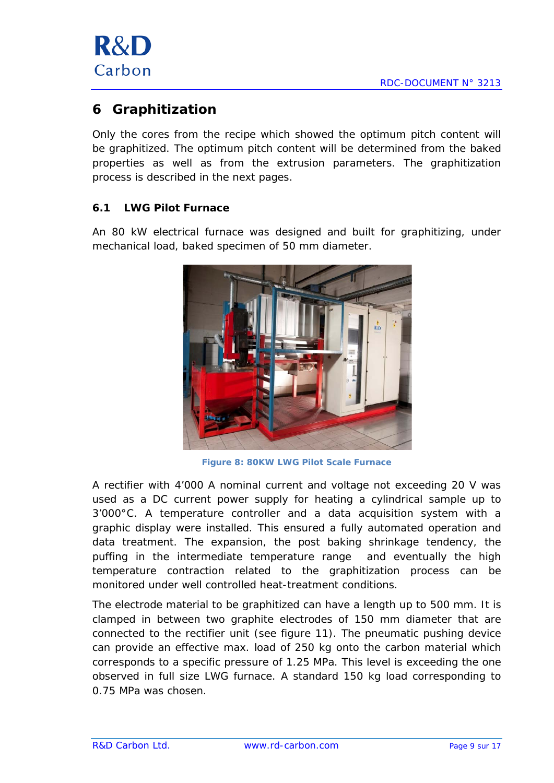

## <span id="page-8-0"></span>**6 Graphitization**

Only the cores from the recipe which showed the optimum pitch content will be graphitized. The optimum pitch content will be determined from the baked properties as well as from the extrusion parameters. The graphitization process is described in the next pages.

## <span id="page-8-1"></span>**6.1 LWG Pilot Furnace**

An 80 kW electrical furnace was designed and built for graphitizing, under mechanical load, baked specimen of 50 mm diameter.



**Figure 8: 80KW LWG Pilot Scale Furnace**

A rectifier with 4'000 A nominal current and voltage not exceeding 20 V was used as a DC current power supply for heating a cylindrical sample up to 3'000°C. A temperature controller and a data acquisition system with a graphic display were installed. This ensured a fully automated operation and data treatment. The expansion, the post baking shrinkage tendency, the puffing in the intermediate temperature range and eventually the high temperature contraction related to the graphitization process can be monitored under well controlled heat-treatment conditions.

The electrode material to be graphitized can have a length up to 500 mm. It is clamped in between two graphite electrodes of 150 mm diameter that are connected to the rectifier unit (see figure 11). The pneumatic pushing device can provide an effective max. load of 250 kg onto the carbon material which corresponds to a specific pressure of 1.25 MPa. This level is exceeding the one observed in full size LWG furnace. A standard 150 kg load corresponding to 0.75 MPa was chosen.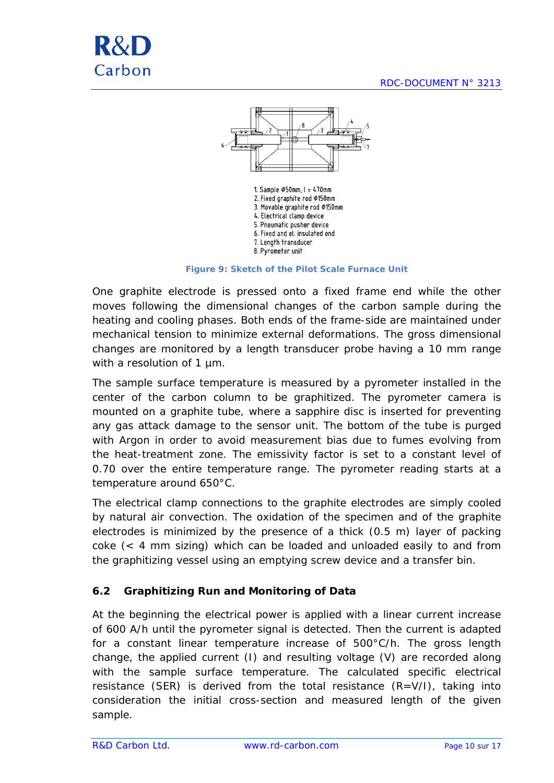



1. Sample Ø50mm, l = 470mm 2. Fixed graphite rod Ø150mm 3. Movable graphite rod Ø150mm 4. Electrical clamp device 5. Pneumatic pusher device 6. Fixed and el. insulated end 7. Length transducer 8. Pyrometer unit

**Figure 9: Sketch of the Pilot Scale Furnace Unit**

One graphite electrode is pressed onto a fixed frame end while the other moves following the dimensional changes of the carbon sample during the heating and cooling phases. Both ends of the frame-side are maintained under mechanical tension to minimize external deformations. The gross dimensional changes are monitored by a length transducer probe having a 10 mm range with a resolution of 1 um.

The sample surface temperature is measured by a pyrometer installed in the center of the carbon column to be graphitized. The pyrometer camera is mounted on a graphite tube, where a sapphire disc is inserted for preventing any gas attack damage to the sensor unit. The bottom of the tube is purged with Argon in order to avoid measurement bias due to fumes evolving from the heat-treatment zone. The emissivity factor is set to a constant level of 0.70 over the entire temperature range. The pyrometer reading starts at a temperature around 650°C.

The electrical clamp connections to the graphite electrodes are simply cooled by natural air convection. The oxidation of the specimen and of the graphite electrodes is minimized by the presence of a thick (0.5 m) layer of packing coke (< 4 mm sizing) which can be loaded and unloaded easily to and from the graphitizing vessel using an emptying screw device and a transfer bin.

## <span id="page-9-0"></span>**6.2 Graphitizing Run and Monitoring of Data**

At the beginning the electrical power is applied with a linear current increase of 600 A/h until the pyrometer signal is detected. Then the current is adapted for a constant linear temperature increase of 500°C/h. The gross length change, the applied current (I) and resulting voltage (V) are recorded along with the sample surface temperature. The calculated specific electrical resistance (SER) is derived from the total resistance  $(R=V/I)$ , taking into consideration the initial cross-section and measured length of the given sample.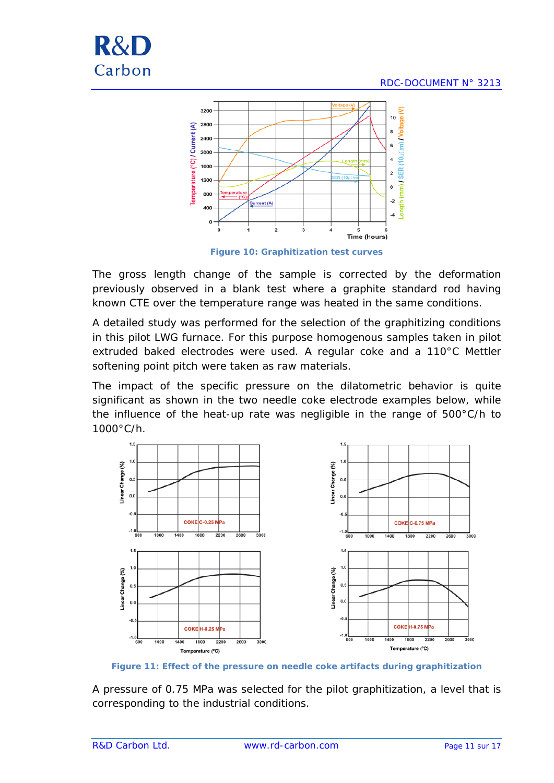



The gross length change of the sample is corrected by the deformation previously observed in a blank test where a graphite standard rod having known CTE over the temperature range was heated in the same conditions.

A detailed study was performed for the selection of the graphitizing conditions in this pilot LWG furnace. For this purpose homogenous samples taken in pilot extruded baked electrodes were used. A regular coke and a 110°C Mettler softening point pitch were taken as raw materials.

The impact of the specific pressure on the dilatometric behavior is quite significant as shown in the two needle coke electrode examples below, while the influence of the heat-up rate was negligible in the range of 500°C/h to 1000°C/h.



**Figure 11: Effect of the pressure on needle coke artifacts during graphitization**

A pressure of 0.75 MPa was selected for the pilot graphitization, a level that is corresponding to the industrial conditions.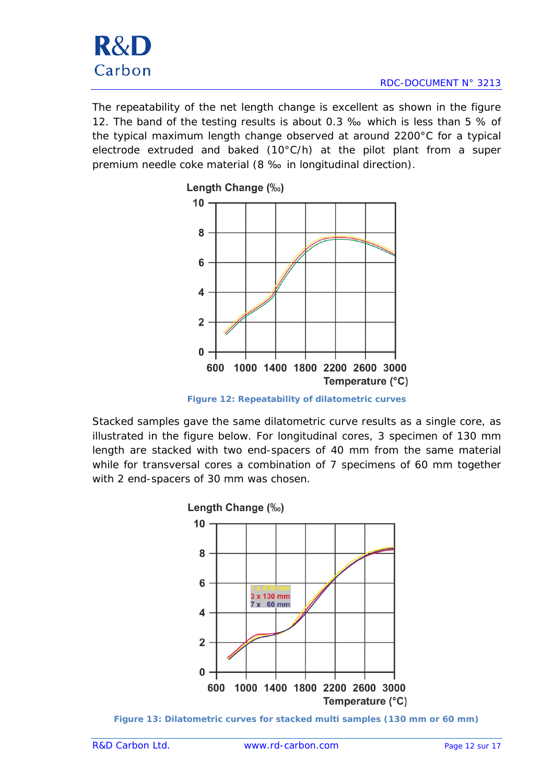The repeatability of the net length change is excellent as shown in the figure 12. The band of the testing results is about 0.3 ‰ which is less than 5 % of the typical maximum length change observed at around 2200°C for a typical electrode extruded and baked (10°C/h) at the pilot plant from a super premium needle coke material (8 ‰ in longitudinal direction).



**Figure 12: Repeatability of dilatometric curves**

Stacked samples gave the same dilatometric curve results as a single core, as illustrated in the figure below. For longitudinal cores, 3 specimen of 130 mm length are stacked with two end-spacers of 40 mm from the same material while for transversal cores a combination of 7 specimens of 60 mm together with 2 end-spacers of 30 mm was chosen.



**Figure 13: Dilatometric curves for stacked multi samples (130 mm or 60 mm)**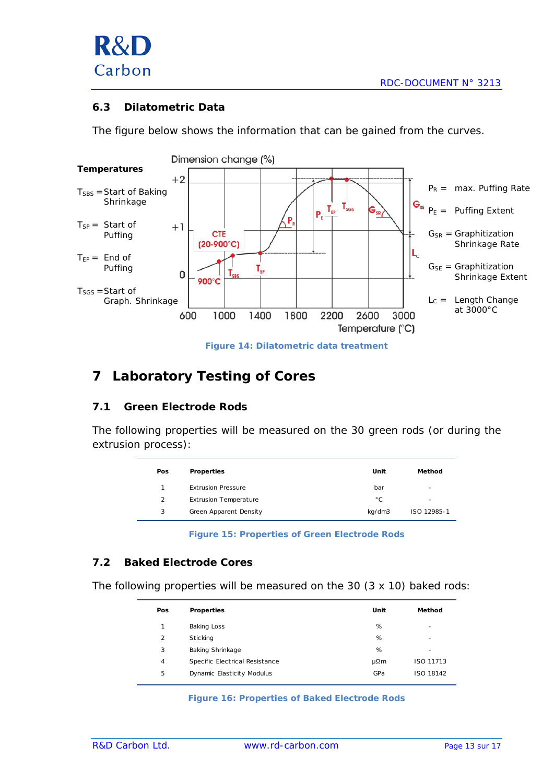

#### <span id="page-12-0"></span>**6.3 Dilatometric Data**

The figure below shows the information that can be gained from the curves.



**Figure 14: Dilatometric data treatment**

## <span id="page-12-1"></span>**7 Laboratory Testing of Cores**

## <span id="page-12-2"></span>**7.1 Green Electrode Rods**

The following properties will be measured on the 30 green rods (or during the extrusion process):

| Pos | <b>Properties</b>            | Unit   | Method      |
|-----|------------------------------|--------|-------------|
|     | <b>Extrusion Pressure</b>    | bar    | -           |
| 2   | <b>Extrusion Temperature</b> | °С     | -           |
| 3   | Green Apparent Density       | kg/dm3 | ISO 12985-1 |

**Figure 15: Properties of Green Electrode Rods**

#### <span id="page-12-3"></span>**7.2 Baked Electrode Cores**

The following properties will be measured on the 30 (3 x 10) baked rods:

| <b>Properties</b>              | Unit | Method                   |
|--------------------------------|------|--------------------------|
| <b>Baking Loss</b>             | %    | $\overline{\phantom{a}}$ |
| <b>Sticking</b>                | %    | $\overline{\phantom{a}}$ |
| <b>Baking Shrinkage</b>        | %    | -                        |
| Specific Electrical Resistance | μΩm  | ISO 11713                |
| Dynamic Elasticity Modulus     | GPa  | ISO 18142                |
|                                |      |                          |

#### **Figure 16: Properties of Baked Electrode Rods**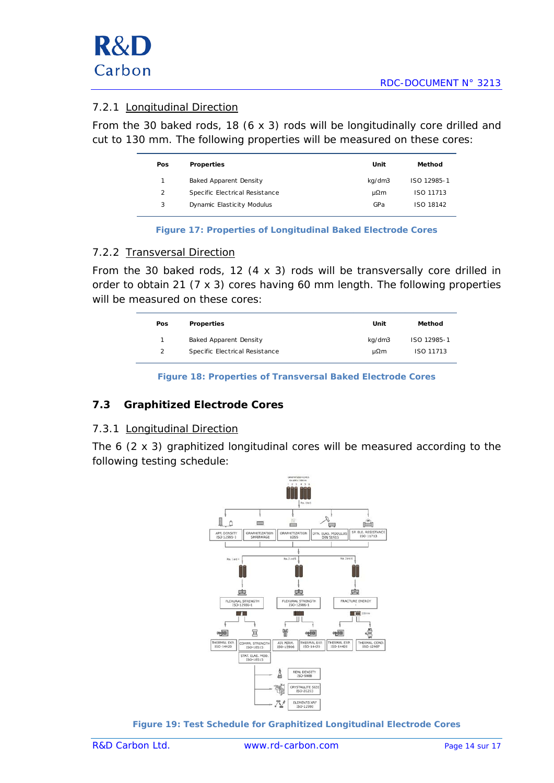## <span id="page-13-0"></span>7.2.1 Longitudinal Direction

From the 30 baked rods, 18 (6 x 3) rods will be longitudinally core drilled and cut to 130 mm. The following properties will be measured on these cores:

| Pos            | <b>Properties</b>              | Unit   | Method      |
|----------------|--------------------------------|--------|-------------|
| 1              | Baked Apparent Density         | kg/dm3 | ISO 12985-1 |
| $\overline{2}$ | Specific Electrical Resistance | μΩm    | ISO 11713   |
| 3              | Dynamic Elasticity Modulus     | GPa    | ISO 18142   |
|                |                                |        |             |

**Figure 17: Properties of Longitudinal Baked Electrode Cores**

#### <span id="page-13-1"></span>7.2.2 Transversal Direction

From the 30 baked rods, 12  $(4 \times 3)$  rods will be transversally core drilled in order to obtain 21 (7 x 3) cores having 60 mm length. The following properties will be measured on these cores:

| Pos | Properties                     | Unit   | Method      |
|-----|--------------------------------|--------|-------------|
| 1.  | Baked Apparent Density         | kg/dm3 | ISO 12985-1 |
| 2   | Specific Electrical Resistance | uΩm    | ISO 11713   |

**Figure 18: Properties of Transversal Baked Electrode Cores**

## <span id="page-13-2"></span>**7.3 Graphitized Electrode Cores**

## <span id="page-13-3"></span>7.3.1 Longitudinal Direction

The 6 (2 x 3) graphitized longitudinal cores will be measured according to the following testing schedule:



**Figure 19: Test Schedule for Graphitized Longitudinal Electrode Cores**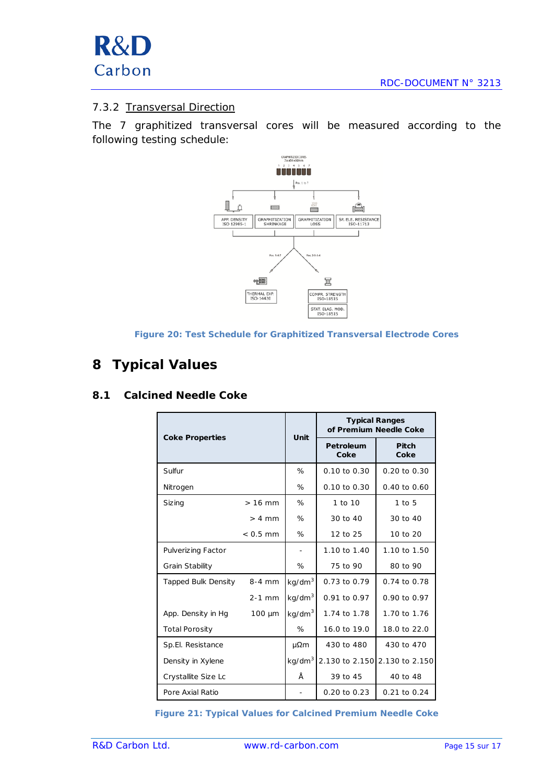## <span id="page-14-0"></span>7.3.2 Transversal Direction

The 7 graphitized transversal cores will be measured according to the following testing schedule:





## <span id="page-14-1"></span>**8 Typical Values**

## <span id="page-14-2"></span>**8.1 Calcined Needle Coke**

| <b>Coke Properties</b> |             | Unit               | <b>Typical Ranges</b><br>of Premium Needle Coke |                |  |
|------------------------|-------------|--------------------|-------------------------------------------------|----------------|--|
|                        |             |                    | Petroleum<br>Coke                               | Pitch<br>Coke  |  |
| Sulfur                 |             | %                  | 0.10 to 0.30                                    | 0.20 to 0.30   |  |
| Nitrogen               |             | %                  | 0.10 to 0.30                                    | 0.40 to 0.60   |  |
| Siz ing                | $>16$ mm    | %                  | 1 to 10                                         | $1$ to $5$     |  |
|                        | $> 4$ mm    | %                  | 30 to 40                                        | 30 to 40       |  |
|                        | $< 0.5$ mm  | $\%$               | 12 to 25                                        | 10 to 20       |  |
| Pulverizing Factor     |             |                    | 1.10 to 1.40                                    | 1.10 to 1.50   |  |
| Grain Stability        |             | %                  | 75 to 90                                        | 80 to 90       |  |
| Tapped Bulk Density    | $8-4$ mm    | kg/dm <sup>3</sup> | 0.73 to 0.79                                    | 0.74 to 0.78   |  |
|                        | $2-1$ mm    | kg/dm <sup>3</sup> | $0.91$ to $0.97$                                | 0.90 to 0.97   |  |
| App. Density in Hg     | $100 \mu m$ | kg/dm <sup>3</sup> | 1.74 to 1.78                                    | 1.70 to 1.76   |  |
| <b>Total Porosity</b>  |             | %                  | 16.0 to 19.0                                    | 18.0 to 22.0   |  |
| Sp.El. Resistance      |             | μΩm                | 430 to 480                                      | 430 to 470     |  |
| Density in Xylene      |             | kg/dm <sup>3</sup> | 2.130 to 2.150                                  | 2.130 to 2.150 |  |
| Crystallite Size Lc    |             | Å                  | 39 to 45                                        | 40 to 48       |  |
| Pore Axial Ratio       |             |                    | 0.20 to 0.23                                    | 0.21 to 0.24   |  |

**Figure 21: Typical Values for Calcined Premium Needle Coke**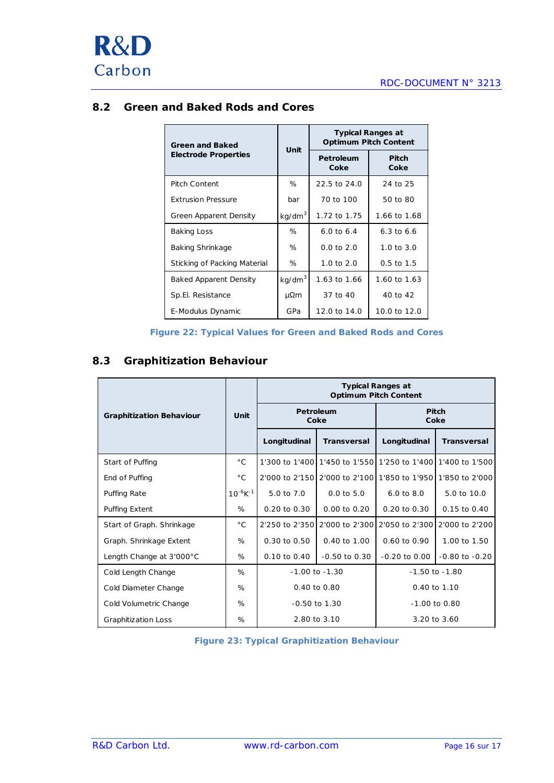

## <span id="page-15-0"></span>**8.2 Green and Baked Rods and Cores**

| Green and Baked               | Unit               | <b>Typical Ranges at</b><br><b>Optimum Pitch Content</b> |                       |  |  |
|-------------------------------|--------------------|----------------------------------------------------------|-----------------------|--|--|
| <b>Electrode Properties</b>   |                    | Petroleum<br>Coke                                        | Pitch<br>Coke         |  |  |
| <b>Pitch Content</b>          | ℅                  | 22.5 to 24.0                                             | 24 to 25              |  |  |
| <b>Extrusion Pressure</b>     | bar                | 70 to 100                                                | 50 to 80              |  |  |
| Green Apparent Density        | kg/dm <sup>3</sup> | 1.72 to 1.75                                             | 1.66 to 1.68          |  |  |
| Baking Loss                   | ℅                  | 6.0 to 6.4                                               | $6.3 \text{ to } 6.6$ |  |  |
| <b>Baking Shrinkage</b>       | ℅                  | $0.0$ to $2.0$                                           | $1.0 \text{ to } 3.0$ |  |  |
| Sticking of Packing Material  | ℅                  | $1.0 \text{ to } 2.0$                                    | $0.5 \text{ to } 1.5$ |  |  |
| <b>Baked Apparent Density</b> | kg/dm <sup>3</sup> | 1.63 to 1.66                                             | 1.60 to 1.63          |  |  |
| Sp.El. Resistance             | μΩm                | 37 to 40                                                 | 40 to 42              |  |  |
| E-Modulus Dynamic             | GPa                | 12.0 to 14.0                                             | 10.0 to 12.0          |  |  |

| Figure 22: Typical Values for Green and Baked Rods and Cores |  |  |  |  |  |
|--------------------------------------------------------------|--|--|--|--|--|
|                                                              |  |  |  |  |  |

## <span id="page-15-1"></span>**8.3 Graphitization Behaviour**

|                                 |                           | <b>Typical Ranges at</b><br><b>Optimum Pitch Content</b> |                         |                                                             |                    |  |  |
|---------------------------------|---------------------------|----------------------------------------------------------|-------------------------|-------------------------------------------------------------|--------------------|--|--|
| <b>Graphitization Behaviour</b> | Unit                      |                                                          | Petroleum<br>Coke       | <b>Pitch</b><br>Coke                                        |                    |  |  |
|                                 |                           | Longitudinal                                             | <b>Transversal</b>      | Longitudinal                                                | <b>Transversal</b> |  |  |
| Start of Puffing                | $^{\circ}$ C              |                                                          |                         | 1'300 to 1'400 1'450 to 1'550 1'250 to 1'400 1'400 to 1'500 |                    |  |  |
| End of Puffing                  | $^{\circ}$ C              |                                                          |                         | 2'000 to 2'150 2'000 to 2'100 1'850 to 1'950 1'850 to 2'000 |                    |  |  |
| <b>Puffing Rate</b>             | $10^{-6}$ K <sup>-1</sup> | 5.0 to 7.0                                               | $0.0$ to $5.0$          | $6.0$ to $8.0$                                              | 5.0 to 10.0        |  |  |
| <b>Puffing Extent</b>           | %                         | $0.20$ to $0.30$                                         | $0.00$ to $0.20$        | $0.20 \text{ to } 0.30$                                     | 0.15 to 0.40       |  |  |
| Start of Graph. Shrinkage       | $^{\circ}$ C              | 2'250 to 2'350                                           | 2'000 to 2'300          | 2'050 to 2'300                                              | 2'000 to 2'200     |  |  |
| Graph. Shrinkage Extent         | %                         | $0.30 \text{ to } 0.50$                                  | $0.40 \text{ to } 1.00$ | $0.60 \text{ to } 0.90$                                     | 1.00 to 1.50       |  |  |
| Length Change at 3'000°C        | %                         | 0.10 to 0.40                                             | $-0.50$ to $0.30$       | $-0.20$ to $0.00$                                           | $-0.80$ to $-0.20$ |  |  |
| Cold Length Change              | %                         | $-1.00$ to $-1.30$                                       |                         | $-1.50$ to $-1.80$                                          |                    |  |  |
| Cold Diameter Change            | %                         | 0.40 to 0.80                                             |                         | 0.40 to 1.10                                                |                    |  |  |
| Cold Volumetric Change          | %                         | $-0.50$ to $1.30$                                        |                         | $-1.00$ to 0.80                                             |                    |  |  |
| <b>Graphitization Loss</b>      | %                         | 2.80 to 3.10                                             |                         | 3.20 to 3.60                                                |                    |  |  |

**Figure 23: Typical Graphitization Behaviour**